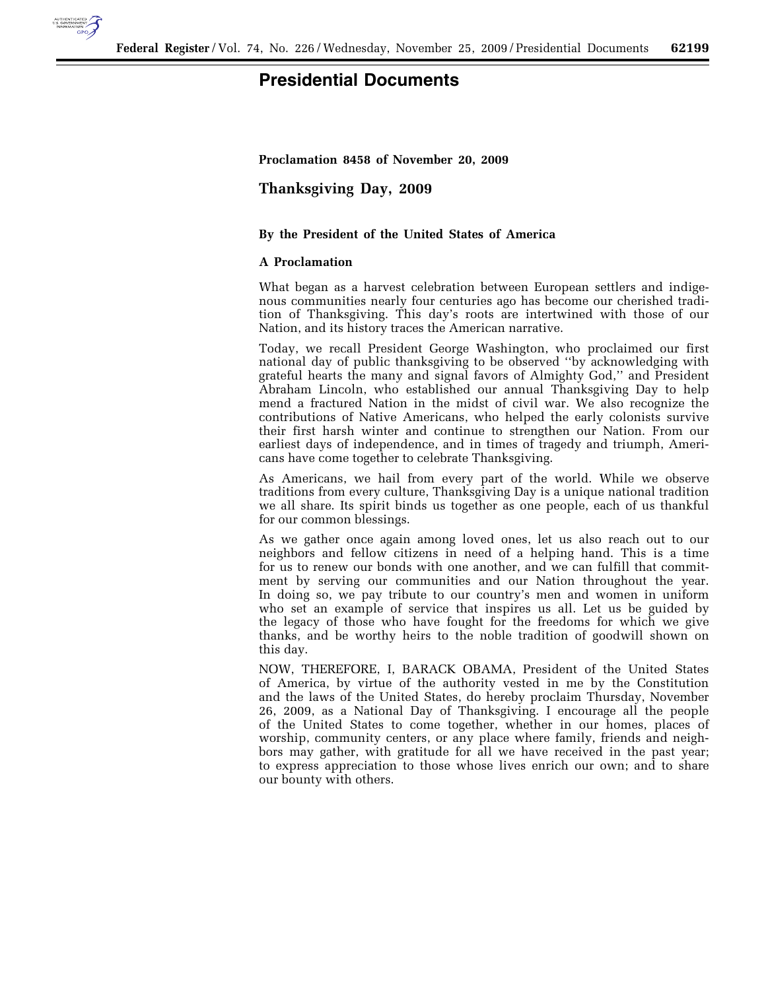

## **Presidential Documents**

**Proclamation 8458 of November 20, 2009** 

**Thanksgiving Day, 2009** 

## **By the President of the United States of America**

## **A Proclamation**

What began as a harvest celebration between European settlers and indigenous communities nearly four centuries ago has become our cherished tradition of Thanksgiving. This day's roots are intertwined with those of our Nation, and its history traces the American narrative.

Today, we recall President George Washington, who proclaimed our first national day of public thanksgiving to be observed ''by acknowledging with grateful hearts the many and signal favors of Almighty God,'' and President Abraham Lincoln, who established our annual Thanksgiving Day to help mend a fractured Nation in the midst of civil war. We also recognize the contributions of Native Americans, who helped the early colonists survive their first harsh winter and continue to strengthen our Nation. From our earliest days of independence, and in times of tragedy and triumph, Americans have come together to celebrate Thanksgiving.

As Americans, we hail from every part of the world. While we observe traditions from every culture, Thanksgiving Day is a unique national tradition we all share. Its spirit binds us together as one people, each of us thankful for our common blessings.

As we gather once again among loved ones, let us also reach out to our neighbors and fellow citizens in need of a helping hand. This is a time for us to renew our bonds with one another, and we can fulfill that commitment by serving our communities and our Nation throughout the year. In doing so, we pay tribute to our country's men and women in uniform who set an example of service that inspires us all. Let us be guided by the legacy of those who have fought for the freedoms for which we give thanks, and be worthy heirs to the noble tradition of goodwill shown on this day.

NOW, THEREFORE, I, BARACK OBAMA, President of the United States of America, by virtue of the authority vested in me by the Constitution and the laws of the United States, do hereby proclaim Thursday, November 26, 2009, as a National Day of Thanksgiving. I encourage all the people of the United States to come together, whether in our homes, places of worship, community centers, or any place where family, friends and neighbors may gather, with gratitude for all we have received in the past year; to express appreciation to those whose lives enrich our own; and to share our bounty with others.